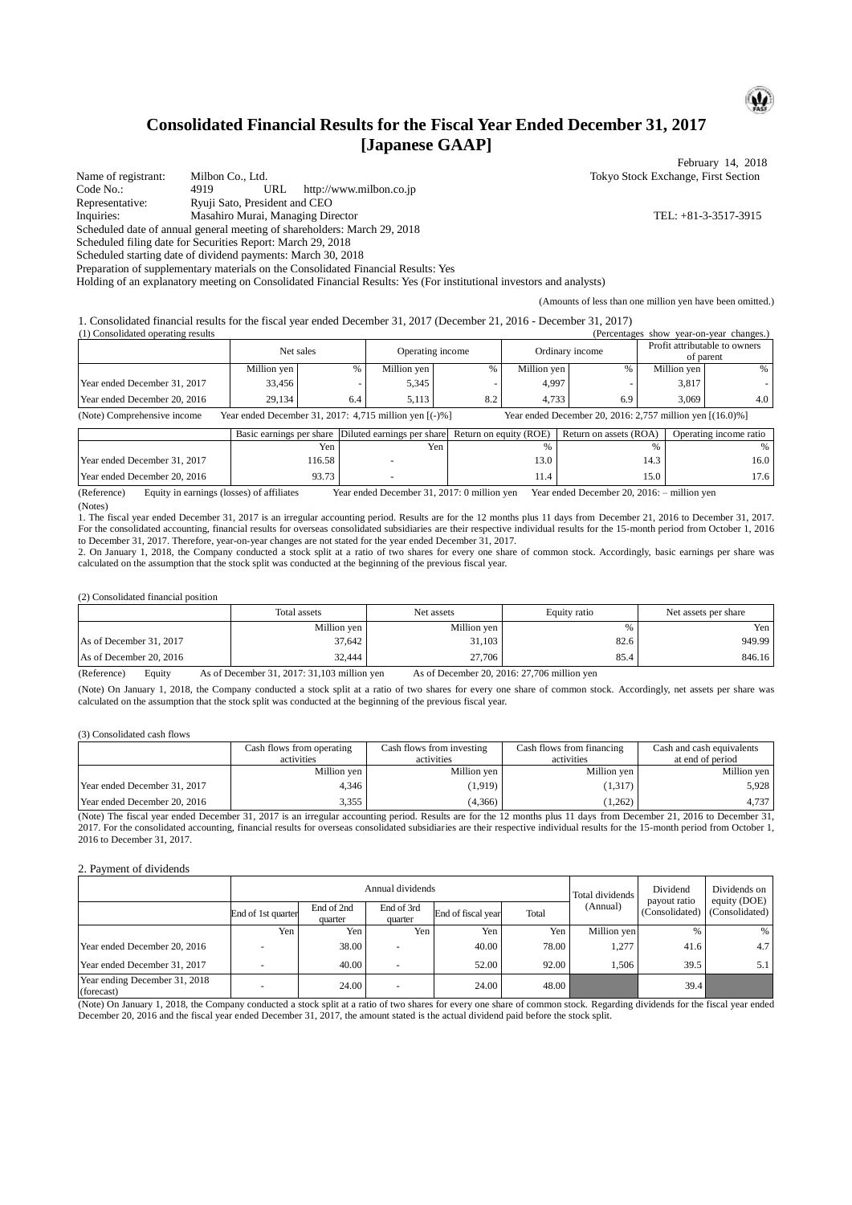# **Consolidated Financial Results for the Fiscal Year Ended December 31, 2017 [Japanese GAAP]**

February 14, 2018 Name of registrant: Milbon Co., Ltd. <br>
Code No.: 4919 URL http://www.milbon.co.ip<br>
Code No.: 4919 URL http://www.milbon.co.ip http://www.milbon.co.jp Representative: Ryuji Sato, President and CEO Inquiries: Masahiro Murai, Managing Director TEL: +81-3-3517-3915 Scheduled date of annual general meeting of shareholders: March 29, 2018 Scheduled filing date for Securities Report: March 29, 2018 Scheduled starting date of dividend payments: March 30, 2018 Preparation of supplementary materials on the Consolidated Financial Results: Yes

Holding of an explanatory meeting on Consolidated Financial Results: Yes (For institutional investors and analysts)

(Amounts of less than one million yen have been omitted.)

1. Consolidated financial results for the fiscal year ended December 31, 2017 (December 21, 2016 - December 31, 2017) (1) Consolidated operating results (Percentages show year-on-year changes.)

|                                    | Net sales                                                                                   |     | Operating income |     | Ordinary income |     | Profit attributable to owners<br>of parent                        |     |
|------------------------------------|---------------------------------------------------------------------------------------------|-----|------------------|-----|-----------------|-----|-------------------------------------------------------------------|-----|
|                                    | Million ven                                                                                 |     | Million ven      |     | Million ven     | %   | Million ven                                                       | %   |
| Year ended December 31, 2017       | 33.456                                                                                      |     | 5,345            |     | 4.997           |     | 3.817                                                             |     |
| Year ended December 20, 2016       | 29.134                                                                                      | 6.4 | 5.113            | 8.2 | 4.733           | 6.9 | 3.069                                                             | 4.0 |
| (A <sub>0</sub> , A <sub>0</sub> ) | Vaar anded December 21, 2017, $4.715$ million van $\lceil$ / $\lceil$ / $\lceil$ / $\lceil$ |     |                  |     |                 |     | Vaan anded December 20, 2016; 2.757 million $\frac{1}{16}$ 0.00 1 |     |

(Note) Comprehensive income Year ended December 31, 2017: 4,715 million yen [(-)%] Year ended December 20, 2016: 2,757 million yen [(16.0)%]

|                              |        | Basic earnings per share Diluted earnings per share Return on equity (ROE) |        | Return on assets (ROA) | Operating income ratio |
|------------------------------|--------|----------------------------------------------------------------------------|--------|------------------------|------------------------|
|                              | Yen    | Yen                                                                        |        |                        |                        |
| Year ended December 31, 2017 | 116.58 |                                                                            | 3.0    | 14.3                   | 16.0                   |
| Year ended December 20, 2016 | 93.73  |                                                                            | L I .4 | 15.0                   | 17.6                   |

(Reference) Equity in earnings (losses) of affiliates Year ended December 31, 2017: 0 million yen Year ended December 20, 2016: – million yen (Notes)

1. The fiscal year ended December 31, 2017 is an irregular accounting period. Results are for the 12 months plus 11 days from December 21, 2016 to December 31, 2017. For the consolidated accounting, financial results for overseas consolidated subsidiaries are their respective individual results for the 15-month period from October 1, 2016 to December 31, 2017. Therefore, year-on-year changes are not stated for the year ended December 31, 2017.

2. On January 1, 2018, the Company conducted a stock split at a ratio of two shares for every one share of common stock. Accordingly, basic earnings per share was calculated on the assumption that the stock split was conducted at the beginning of the previous fiscal year.

(2) Consolidated financial position

|                         | Total assets | Net assets  | Equity ratio | Net assets per share |  |
|-------------------------|--------------|-------------|--------------|----------------------|--|
|                         | Million yen  | Million yen |              | Yen                  |  |
| As of December 31, 2017 | 37,642       | 31,103      | 82.6         | 949.99               |  |
| As of December 20, 2016 | 32,444       | 27,706      | 85.4         | 846.16               |  |

(Reference) Equity As of December 31, 2017: 31,103 million yen As of December 20, 2016: 27,706 million yen

(Note) On January 1, 2018, the Company conducted a stock split at a ratio of two shares for every one share of common stock. Accordingly, net assets per share was calculated on the assumption that the stock split was conducted at the beginning of the previous fiscal year.

(3) Consolidated cash flows

|                              | Cash flows from operating | Cash flows from investing | Cash flows from financing | Cash and cash equivalents |
|------------------------------|---------------------------|---------------------------|---------------------------|---------------------------|
|                              | activities                | activities                | activities                | at end of period          |
|                              | Million yen               | Million yen               | Million yen               | Million yen               |
| Year ended December 31, 2017 | 4.346                     | (1,919)                   | (1,317)                   | 5.928                     |
| Year ended December 20, 2016 | 3.355                     | (4.366)                   | 1,262)                    | 4.737                     |

(Note) The fiscal year ended December 31, 2017 is an irregular accounting period. Results are for the 12 months plus 11 days from December 21, 2016 to December 31, 2017. For the consolidated accounting, financial results for overseas consolidated subsidiaries are their respective individual results for the 15-month period from October 1, 2016 to December 31, 2017.

2. Payment of dividends

|                                             |                    |                       | Annual dividends         | Total dividends    | Dividend<br>payout ratio | Dividends on<br>equity (DOE) |                |                |
|---------------------------------------------|--------------------|-----------------------|--------------------------|--------------------|--------------------------|------------------------------|----------------|----------------|
|                                             | End of 1st quarter | End of 2nd<br>quarter | End of 3rd<br>quarter    | End of fiscal year | Total                    | (Annual)                     | (Consolidated) | (Consolidated) |
|                                             | Yen                | Yen                   | Yen                      | Yen                | Yen i                    | Million yen                  | %              | $\%$           |
| Year ended December 20, 2016                |                    | 38.00                 | $\overline{\phantom{a}}$ | 40.00              | 78.00                    | 1,277                        | 41.6           | 4.7            |
| Year ended December 31, 2017                |                    | 40.00                 | $\overline{a}$           | 52.00              | 92.00                    | 1.506                        | 39.5           | 5.1            |
| Year ending December 31, 2018<br>(forecast) |                    | 24.00                 | $\overline{\phantom{a}}$ | 24.00              | 48.00                    |                              | 39.4           |                |

(Note) On January 1, 2018, the Company conducted a stock split at a ratio of two shares for every one share of common stock. Regarding dividends for the fiscal year ended December 20, 2016 and the fiscal year ended December 31, 2017, the amount stated is the actual dividend paid before the stock split.

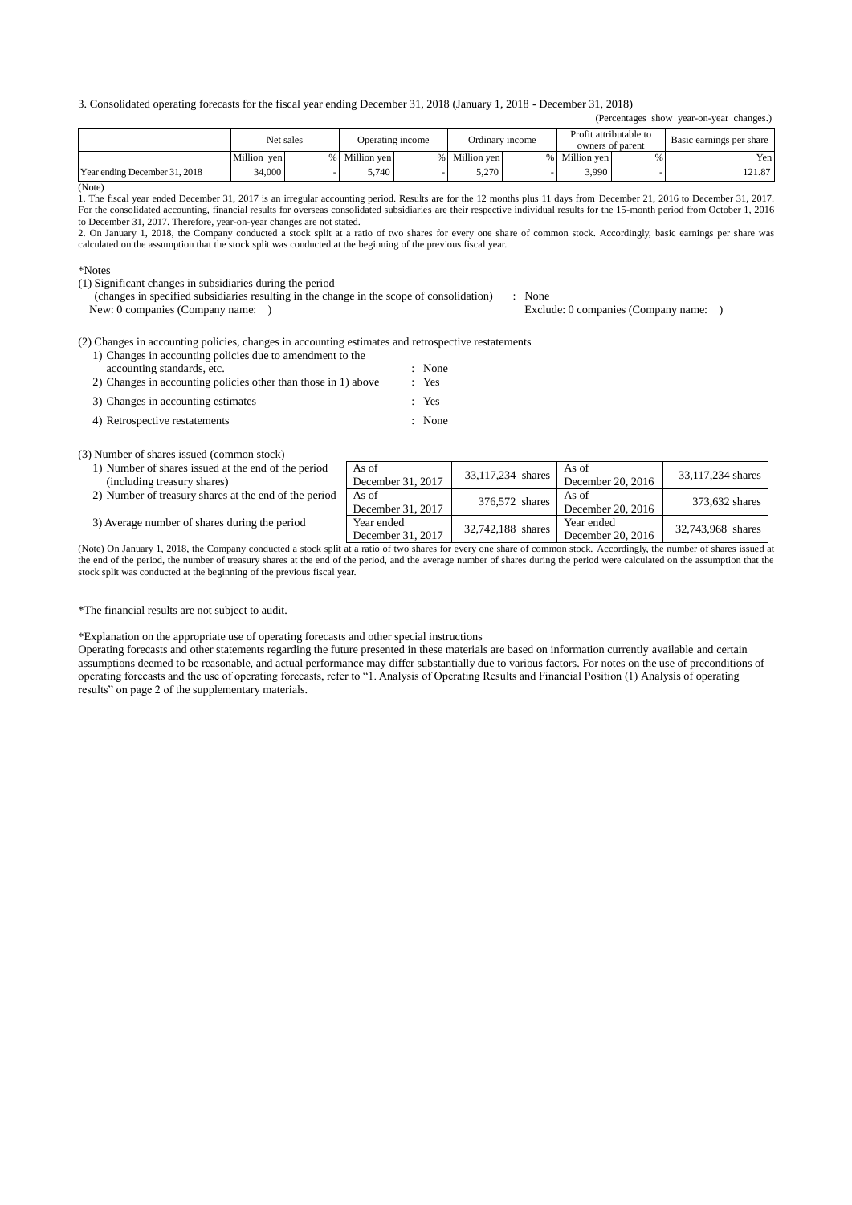3. Consolidated operating forecasts for the fiscal year ending December 31, 2018 (January 1, 2018 - December 31, 2018)

|                               | Net sales   |  |             | Operating income |             | Ordinary income |             | Profit attributable to | Basic earnings per share |  |
|-------------------------------|-------------|--|-------------|------------------|-------------|-----------------|-------------|------------------------|--------------------------|--|
|                               |             |  |             |                  |             |                 |             | owners of parent       |                          |  |
|                               | Million yen |  | Million ven |                  | Million ven |                 | Million ven |                        | Yen                      |  |
| Year ending December 31, 2018 | 34,000      |  | .740        |                  | 5.270       |                 | 3.990       |                        | 121.87                   |  |

(Note)

1. The fiscal year ended December 31, 2017 is an irregular accounting period. Results are for the 12 months plus 11 days from December 21, 2016 to December 31, 2017. For the consolidated accounting, financial results for overseas consolidated subsidiaries are their respective individual results for the 15-month period from October 1, 2016 to December 31, 2017. Therefore, year-on-year changes are not stated.

2. On January 1, 2018, the Company conducted a stock split at a ratio of two shares for every one share of common stock. Accordingly, basic earnings per share was calculated on the assumption that the stock split was conducted at the beginning of the previous fiscal year.

\*Notes

(1) Significant changes in subsidiaries during the period

(changes in specified subsidiaries resulting in the change in the scope of consolidation) : None<br>New: 0 companies (Company name: ) Exclu

Exclude: 0 companies (Company name: )

(Percentages show year-on-year changes.)

(2) Changes in accounting policies, changes in accounting estimates and retrospective restatements

- 1) Changes in accounting policies due to amendment to the accounting standards, etc.  $\therefore$  None<br>Changes in accounting policies other than those in 1) above  $\therefore$  Yes 2) Changes in accounting policies other than those in  $1$ ) above
- 3) Changes in accounting estimates : Yes
- 4) Retrospective restatements : None

(3) Number of shares issued (common stock)

| 1) Number of shares issued at the end of the period   | As of             | 33,117,234 shares | As of             | 33,117,234 shares |
|-------------------------------------------------------|-------------------|-------------------|-------------------|-------------------|
| (including treasury shares)                           | December 31, 2017 |                   | December 20, 2016 |                   |
| 2) Number of treasury shares at the end of the period | As of             | 376,572 shares    | As of             | 373,632 shares    |
|                                                       | December 31, 2017 |                   | December 20, 2016 |                   |
| 3) Average number of shares during the period         | Year ended        | 32,742,188 shares | Year ended        | 32,743,968 shares |
|                                                       | December 31, 2017 |                   | December 20, 2016 |                   |

(Note) On January 1, 2018, the Company conducted a stock split at a ratio of two shares for every one share of common stock. Accordingly, the number of shares issued at the end of the period, the number of treasury shares at the end of the period, and the average number of shares during the period were calculated on the assumption that the stock split was conducted at the beginning of the previous fiscal year.

\*The financial results are not subject to audit.

\*Explanation on the appropriate use of operating forecasts and other special instructions

Operating forecasts and other statements regarding the future presented in these materials are based on information currently available and certain assumptions deemed to be reasonable, and actual performance may differ substantially due to various factors. For notes on the use of preconditions of operating forecasts and the use of operating forecasts, refer to "1. Analysis of Operating Results and Financial Position (1) Analysis of operating results" on page 2 of the supplementary materials.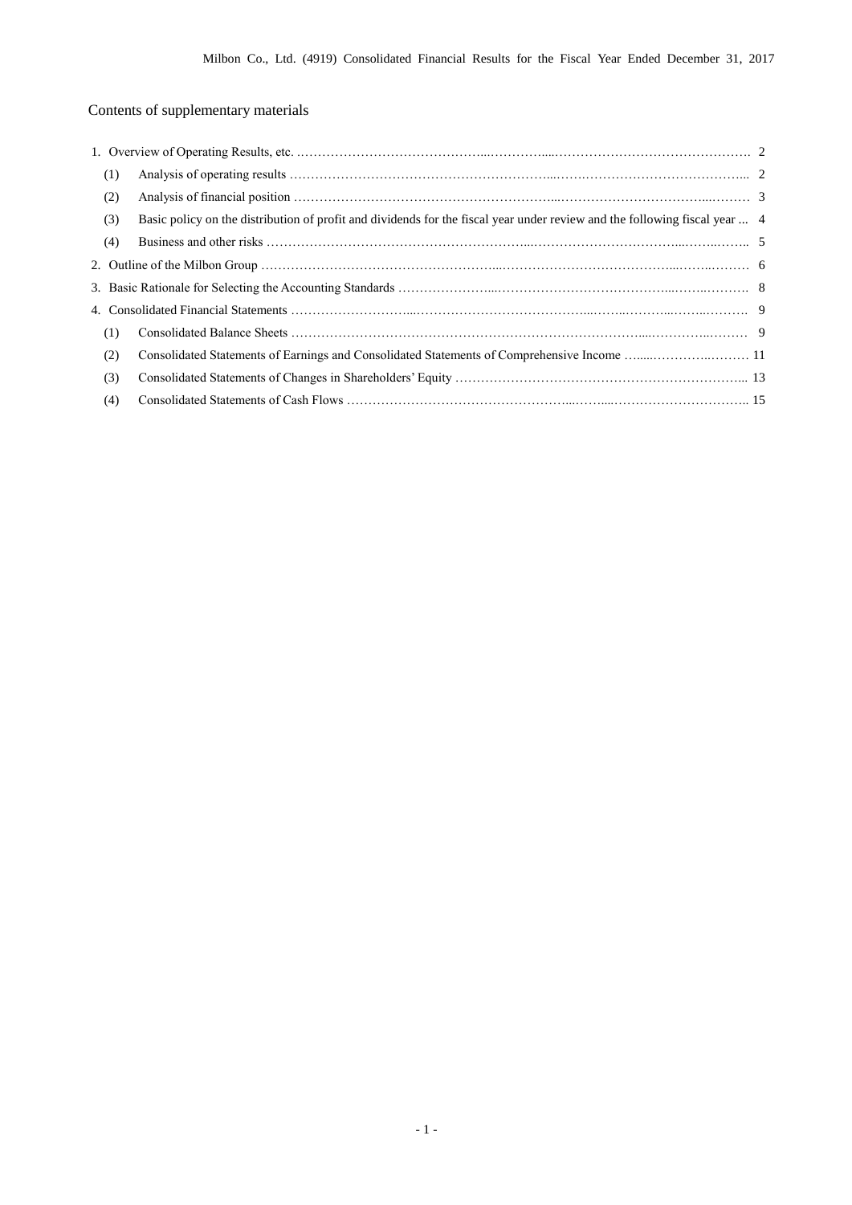# Contents of supplementary materials

| (1) |                                                                                                                            |  |
|-----|----------------------------------------------------------------------------------------------------------------------------|--|
| (2) |                                                                                                                            |  |
| (3) | Basic policy on the distribution of profit and dividends for the fiscal year under review and the following fiscal year  4 |  |
| (4) |                                                                                                                            |  |
|     |                                                                                                                            |  |
|     |                                                                                                                            |  |
|     |                                                                                                                            |  |
| (1) |                                                                                                                            |  |
| (2) |                                                                                                                            |  |
| (3) |                                                                                                                            |  |
| (4) |                                                                                                                            |  |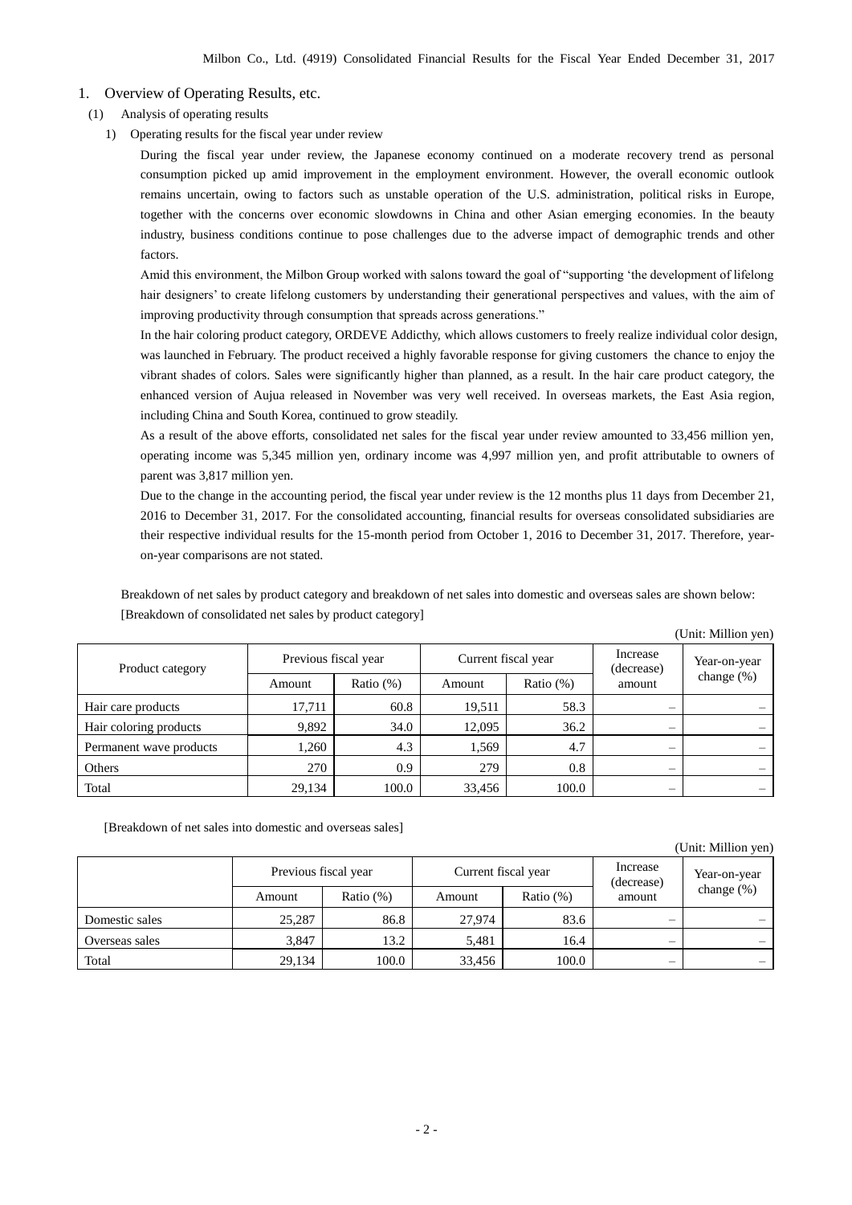- 1. Overview of Operating Results, etc.
- (1) Analysis of operating results
	- 1) Operating results for the fiscal year under review

During the fiscal year under review, the Japanese economy continued on a moderate recovery trend as personal consumption picked up amid improvement in the employment environment. However, the overall economic outlook remains uncertain, owing to factors such as unstable operation of the U.S. administration, political risks in Europe, together with the concerns over economic slowdowns in China and other Asian emerging economies. In the beauty industry, business conditions continue to pose challenges due to the adverse impact of demographic trends and other factors.

Amid this environment, the Milbon Group worked with salons toward the goal of "supporting 'the development of lifelong hair designers' to create lifelong customers by understanding their generational perspectives and values, with the aim of improving productivity through consumption that spreads across generations."

In the hair coloring product category, ORDEVE Addicthy, which allows customers to freely realize individual color design, was launched in February. The product received a highly favorable response for giving customers the chance to enjoy the vibrant shades of colors. Sales were significantly higher than planned, as a result. In the hair care product category, the enhanced version of Aujua released in November was very well received. In overseas markets, the East Asia region, including China and South Korea, continued to grow steadily.

As a result of the above efforts, consolidated net sales for the fiscal year under review amounted to 33,456 million yen, operating income was 5,345 million yen, ordinary income was 4,997 million yen, and profit attributable to owners of parent was 3,817 million yen.

Due to the change in the accounting period, the fiscal year under review is the 12 months plus 11 days from December 21, 2016 to December 31, 2017. For the consolidated accounting, financial results for overseas consolidated subsidiaries are their respective individual results for the 15-month period from October 1, 2016 to December 31, 2017. Therefore, yearon-year comparisons are not stated.

Breakdown of net sales by product category and breakdown of net sales into domestic and overseas sales are shown below: [Breakdown of consolidated net sales by product category]

|                         |                      |              |        |                     |                                | (Unit: Million yen)      |
|-------------------------|----------------------|--------------|--------|---------------------|--------------------------------|--------------------------|
| Product category        | Previous fiscal year |              |        | Current fiscal year | Increase<br>(decrease)         | Year-on-year             |
|                         | Amount               | Ratio $(\%)$ | Amount | Ratio $(\%)$        | amount                         | change $(\%)$            |
| Hair care products      | 17,711               | 60.8         | 19,511 | 58.3                | $\qquad \qquad \longleftarrow$ |                          |
| Hair coloring products  | 9,892                | 34.0         | 12.095 | 36.2                | $\overline{\phantom{0}}$       |                          |
| Permanent wave products | 1.260                | 4.3          | 1,569  | 4.7                 | $\overline{\phantom{0}}$       |                          |
| Others                  | 270                  | 0.9          | 279    | 0.8                 | $\overline{\phantom{0}}$       | $\overline{\phantom{0}}$ |
| Total                   | 29,134               | 100.0        | 33,456 | 100.0               | $\overline{\phantom{0}}$       |                          |

[Breakdown of net sales into domestic and overseas sales]

|                |                      |              |                     |              |                          | (Unit: Million yen)      |
|----------------|----------------------|--------------|---------------------|--------------|--------------------------|--------------------------|
|                | Previous fiscal year |              | Current fiscal year |              | Increase<br>(decrease)   | Year-on-year             |
|                | Amount               | Ratio $(\%)$ | Amount              | Ratio $(\%)$ | amount                   | change $(\%)$            |
| Domestic sales | 25,287               | 86.8         | 27.974              | 83.6         |                          | $\overline{\phantom{a}}$ |
| Overseas sales | 3,847                | 13.2         | 5,481               | 16.4         | $\overline{\phantom{0}}$ | $\overline{\phantom{a}}$ |
| Total          | 29,134               | 100.0        | 33,456              | 100.0        | $\overline{\phantom{0}}$ | $\overline{\phantom{a}}$ |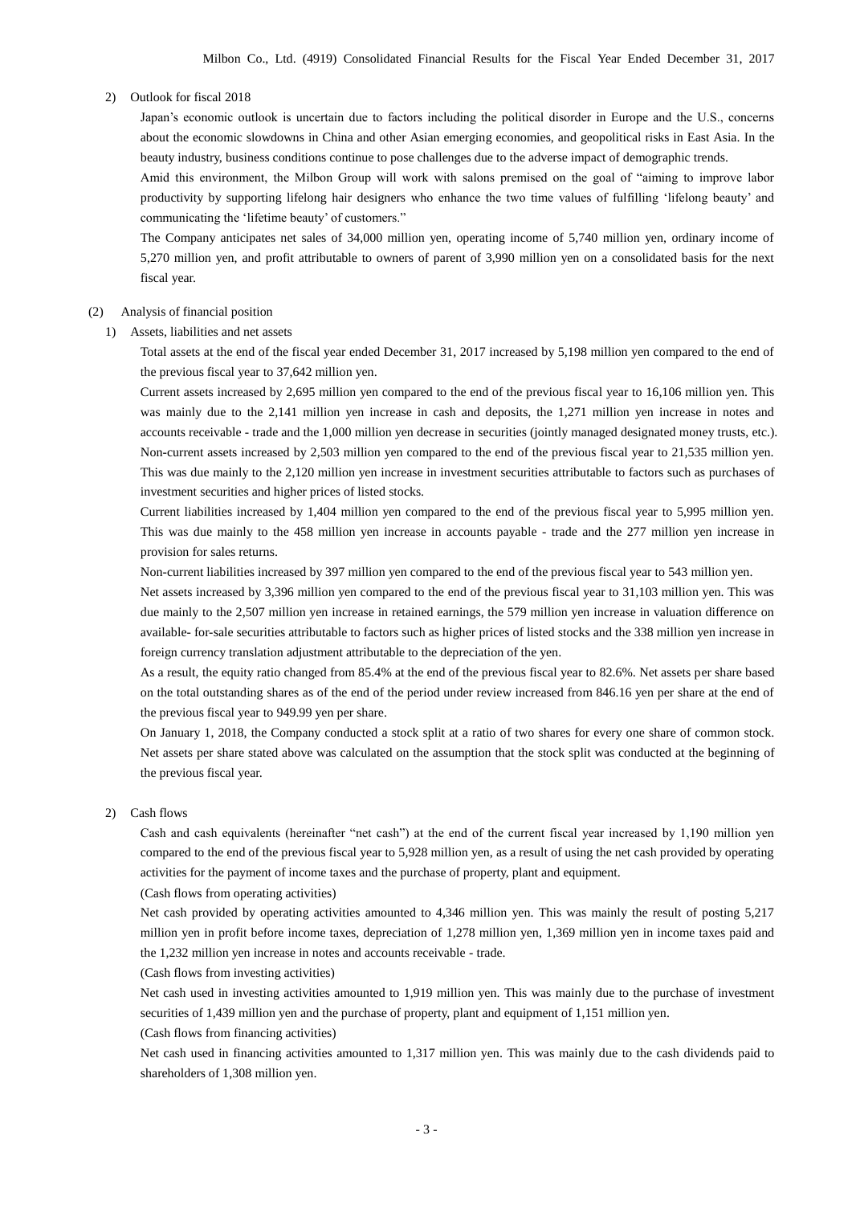#### 2) Outlook for fiscal 2018

Japan's economic outlook is uncertain due to factors including the political disorder in Europe and the U.S., concerns about the economic slowdowns in China and other Asian emerging economies, and geopolitical risks in East Asia. In the beauty industry, business conditions continue to pose challenges due to the adverse impact of demographic trends.

Amid this environment, the Milbon Group will work with salons premised on the goal of "aiming to improve labor productivity by supporting lifelong hair designers who enhance the two time values of fulfilling 'lifelong beauty' and communicating the 'lifetime beauty' of customers."

The Company anticipates net sales of 34,000 million yen, operating income of 5,740 million yen, ordinary income of 5,270 million yen, and profit attributable to owners of parent of 3,990 million yen on a consolidated basis for the next fiscal year.

#### (2) Analysis of financial position

1) Assets, liabilities and net assets

Total assets at the end of the fiscal year ended December 31, 2017 increased by 5,198 million yen compared to the end of the previous fiscal year to 37,642 million yen.

Current assets increased by 2,695 million yen compared to the end of the previous fiscal year to 16,106 million yen. This was mainly due to the 2,141 million yen increase in cash and deposits, the 1,271 million yen increase in notes and accounts receivable - trade and the 1,000 million yen decrease in securities (jointly managed designated money trusts, etc.). Non-current assets increased by 2,503 million yen compared to the end of the previous fiscal year to 21,535 million yen. This was due mainly to the 2,120 million yen increase in investment securities attributable to factors such as purchases of investment securities and higher prices of listed stocks.

Current liabilities increased by 1,404 million yen compared to the end of the previous fiscal year to 5,995 million yen. This was due mainly to the 458 million yen increase in accounts payable - trade and the 277 million yen increase in provision for sales returns.

Non-current liabilities increased by 397 million yen compared to the end of the previous fiscal year to 543 million yen.

Net assets increased by 3,396 million yen compared to the end of the previous fiscal year to 31,103 million yen. This was due mainly to the 2,507 million yen increase in retained earnings, the 579 million yen increase in valuation difference on available- for-sale securities attributable to factors such as higher prices of listed stocks and the 338 million yen increase in foreign currency translation adjustment attributable to the depreciation of the yen.

As a result, the equity ratio changed from 85.4% at the end of the previous fiscal year to 82.6%. Net assets per share based on the total outstanding shares as of the end of the period under review increased from 846.16 yen per share at the end of the previous fiscal year to 949.99 yen per share.

On January 1, 2018, the Company conducted a stock split at a ratio of two shares for every one share of common stock. Net assets per share stated above was calculated on the assumption that the stock split was conducted at the beginning of the previous fiscal year.

#### 2) Cash flows

Cash and cash equivalents (hereinafter "net cash") at the end of the current fiscal year increased by 1,190 million yen compared to the end of the previous fiscal year to 5,928 million yen, as a result of using the net cash provided by operating activities for the payment of income taxes and the purchase of property, plant and equipment.

(Cash flows from operating activities)

Net cash provided by operating activities amounted to 4,346 million yen. This was mainly the result of posting 5,217 million yen in profit before income taxes, depreciation of 1,278 million yen, 1,369 million yen in income taxes paid and the 1,232 million yen increase in notes and accounts receivable - trade.

(Cash flows from investing activities)

Net cash used in investing activities amounted to 1,919 million yen. This was mainly due to the purchase of investment securities of 1,439 million yen and the purchase of property, plant and equipment of 1,151 million yen.

(Cash flows from financing activities)

Net cash used in financing activities amounted to 1,317 million yen. This was mainly due to the cash dividends paid to shareholders of 1,308 million yen.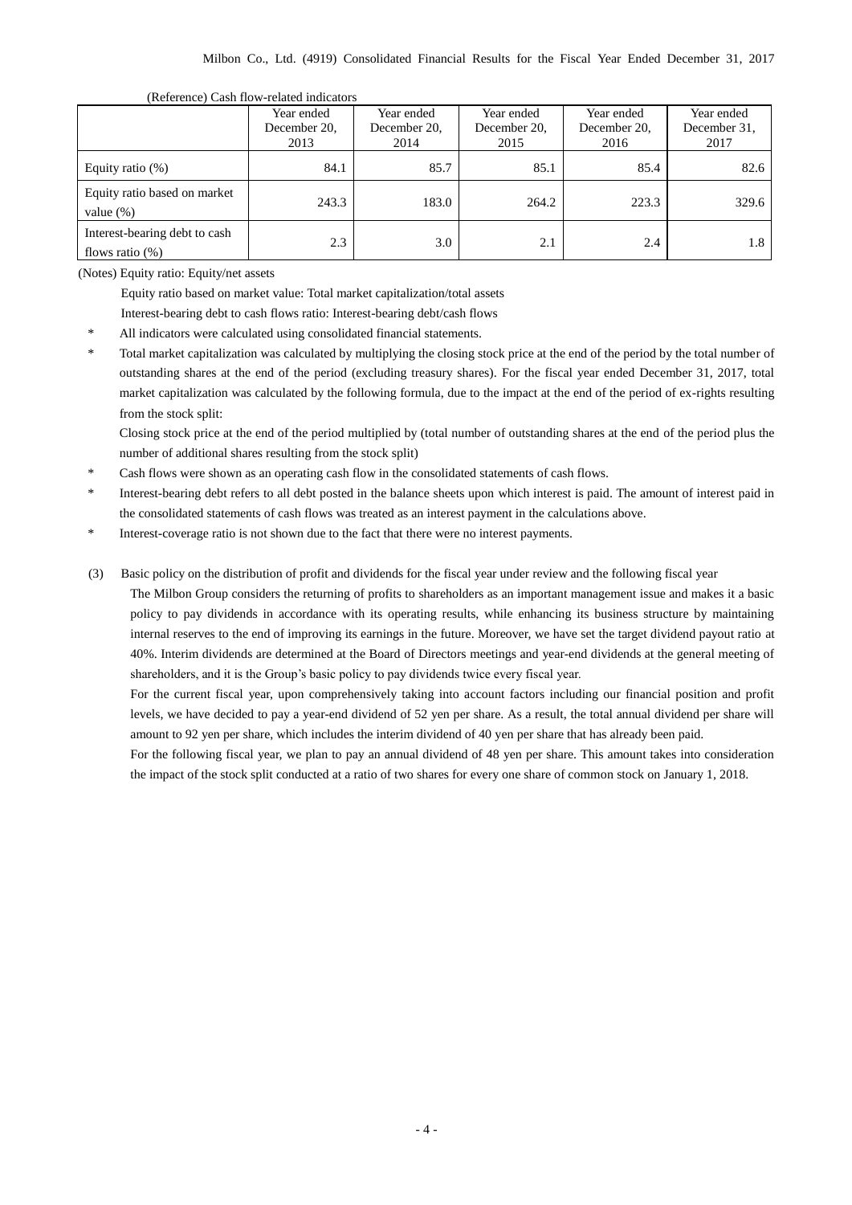|                                                     | $\mu$ . Therefore, $\mu$ and $\mu$ related indicators<br>Year ended<br>December 20. | Year ended<br>December 20, | Year ended<br>December 20, | Year ended<br>December 20, | Year ended<br>December 31. |
|-----------------------------------------------------|-------------------------------------------------------------------------------------|----------------------------|----------------------------|----------------------------|----------------------------|
|                                                     | 2013                                                                                | 2014                       | 2015                       | 2016                       | 2017                       |
| Equity ratio $(\%)$                                 | 84.1                                                                                | 85.7                       | 85.1                       | 85.4                       | 82.6                       |
| Equity ratio based on market<br>value $(\%)$        | 243.3                                                                               | 183.0                      | 264.2                      | 223.3                      | 329.6                      |
| Interest-bearing debt to cash<br>flows ratio $(\%)$ | 2.3                                                                                 | 3.0                        | 2.1                        | 2.4                        | 1.8                        |

#### (Reference) Cash flow-related indicators

(Notes) Equity ratio: Equity/net assets

Equity ratio based on market value: Total market capitalization/total assets

Interest-bearing debt to cash flows ratio: Interest-bearing debt/cash flows

\* All indicators were calculated using consolidated financial statements.

Total market capitalization was calculated by multiplying the closing stock price at the end of the period by the total number of outstanding shares at the end of the period (excluding treasury shares). For the fiscal year ended December 31, 2017, total market capitalization was calculated by the following formula, due to the impact at the end of the period of ex-rights resulting from the stock split:

Closing stock price at the end of the period multiplied by (total number of outstanding shares at the end of the period plus the number of additional shares resulting from the stock split)

Cash flows were shown as an operating cash flow in the consolidated statements of cash flows.

\* Interest-bearing debt refers to all debt posted in the balance sheets upon which interest is paid. The amount of interest paid in the consolidated statements of cash flows was treated as an interest payment in the calculations above.

Interest-coverage ratio is not shown due to the fact that there were no interest payments.

(3) Basic policy on the distribution of profit and dividends for the fiscal year under review and the following fiscal year

The Milbon Group considers the returning of profits to shareholders as an important management issue and makes it a basic policy to pay dividends in accordance with its operating results, while enhancing its business structure by maintaining internal reserves to the end of improving its earnings in the future. Moreover, we have set the target dividend payout ratio at 40%. Interim dividends are determined at the Board of Directors meetings and year-end dividends at the general meeting of shareholders, and it is the Group's basic policy to pay dividends twice every fiscal year.

For the current fiscal year, upon comprehensively taking into account factors including our financial position and profit levels, we have decided to pay a year-end dividend of 52 yen per share. As a result, the total annual dividend per share will amount to 92 yen per share, which includes the interim dividend of 40 yen per share that has already been paid.

For the following fiscal year, we plan to pay an annual dividend of 48 yen per share. This amount takes into consideration the impact of the stock split conducted at a ratio of two shares for every one share of common stock on January 1, 2018.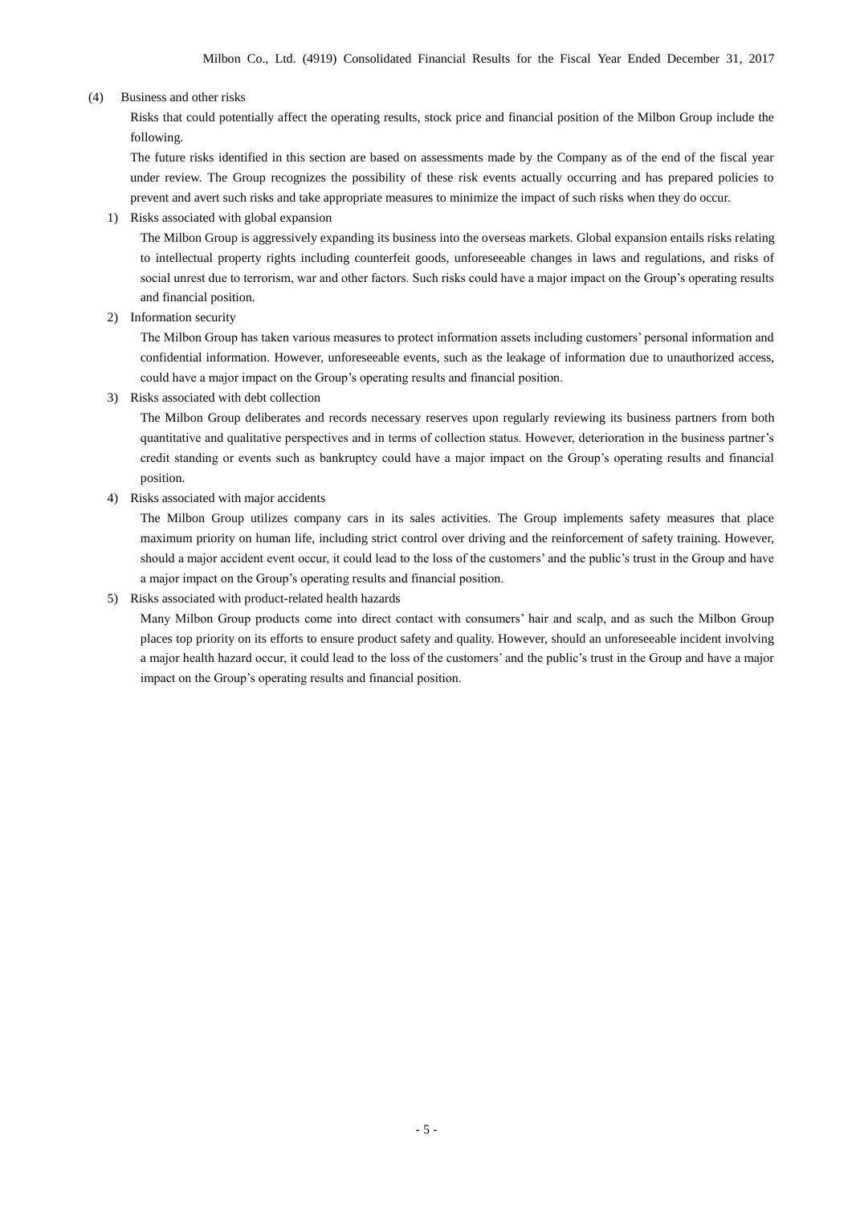#### (4) Business and other risks

Risks that could potentially affect the operating results, stock price and financial position of the Milbon Group include the following.

The future risks identified in this section are based on assessments made by the Company as of the end of the fiscal year under review. The Group recognizes the possibility of these risk events actually occurring and has prepared policies to prevent and avert such risks and take appropriate measures to minimize the impact of such risks when they do occur.

1) Risks associated with global expansion

The Milbon Group is aggressively expanding its business into the overseas markets. Global expansion entails risks relating to intellectual property rights including counterfeit goods, unforeseeable changes in laws and regulations, and risks of social unrest due to terrorism, war and other factors. Such risks could have a major impact on the Group's operating results and financial position.

2) Information security

The Milbon Group has taken various measures to protect information assets including customers' personal information and confidential information. However, unforeseeable events, such as the leakage of information due to unauthorized access, could have a major impact on the Group's operating results and financial position.

3) Risks associated with debt collection

The Milbon Group deliberates and records necessary reserves upon regularly reviewing its business partners from both quantitative and qualitative perspectives and in terms of collection status. However, deterioration in the business partner's credit standing or events such as bankruptcy could have a major impact on the Group's operating results and financial position.

4) Risks associated with major accidents

The Milbon Group utilizes company cars in its sales activities. The Group implements safety measures that place maximum priority on human life, including strict control over driving and the reinforcement of safety training. However, should a major accident event occur, it could lead to the loss of the customers' and the public's trust in the Group and have a major impact on the Group's operating results and financial position.

#### 5) Risks associated with product-related health hazards

Many Milbon Group products come into direct contact with consumers' hair and scalp, and as such the Milbon Group places top priority on its efforts to ensure product safety and quality. However, should an unforeseeable incident involving a major health hazard occur, it could lead to the loss of the customers' and the public's trust in the Group and have a major impact on the Group's operating results and financial position.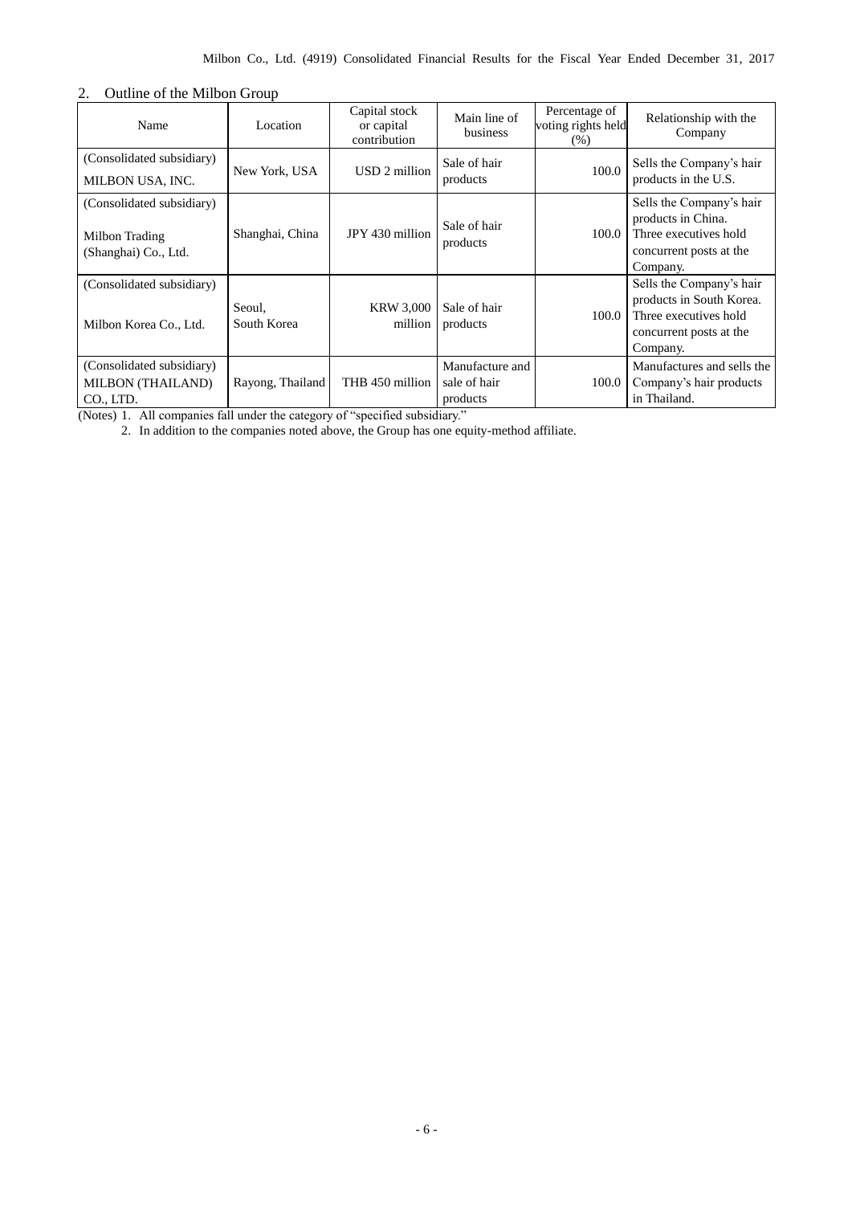### 2. Outline of the Milbon Group

| Name                                                                | Location              | Capital stock<br>or capital<br>contribution | Main line of<br>business                    | Percentage of<br>voting rights held<br>(% ) | Relationship with the<br>Company                                                                                     |
|---------------------------------------------------------------------|-----------------------|---------------------------------------------|---------------------------------------------|---------------------------------------------|----------------------------------------------------------------------------------------------------------------------|
| (Consolidated subsidiary)<br><b>MILBON USA, INC.</b>                | New York, USA         | USD 2 million                               | Sale of hair<br>products                    | 100.0                                       | Sells the Company's hair<br>products in the U.S.                                                                     |
| (Consolidated subsidiary)<br>Milbon Trading<br>(Shanghai) Co., Ltd. | Shanghai, China       | JPY 430 million                             | Sale of hair<br>products                    | 100.0                                       | Sells the Company's hair<br>products in China.<br>Three executives hold<br>concurrent posts at the<br>Company.       |
| (Consolidated subsidiary)<br>Milbon Korea Co., Ltd.                 | Seoul,<br>South Korea | <b>KRW 3,000</b><br>million                 | Sale of hair<br>products                    | 100.0                                       | Sells the Company's hair<br>products in South Korea.<br>Three executives hold<br>concurrent posts at the<br>Company. |
| (Consolidated subsidiary)<br><b>MILBON (THAILAND)</b><br>CO., LTD.  | Rayong, Thailand      | THB 450 million                             | Manufacture and<br>sale of hair<br>products | 100.0                                       | Manufactures and sells the<br>Company's hair products<br>in Thailand.                                                |

(Notes) 1. All companies fall under the category of "specified subsidiary."

2. In addition to the companies noted above, the Group has one equity-method affiliate.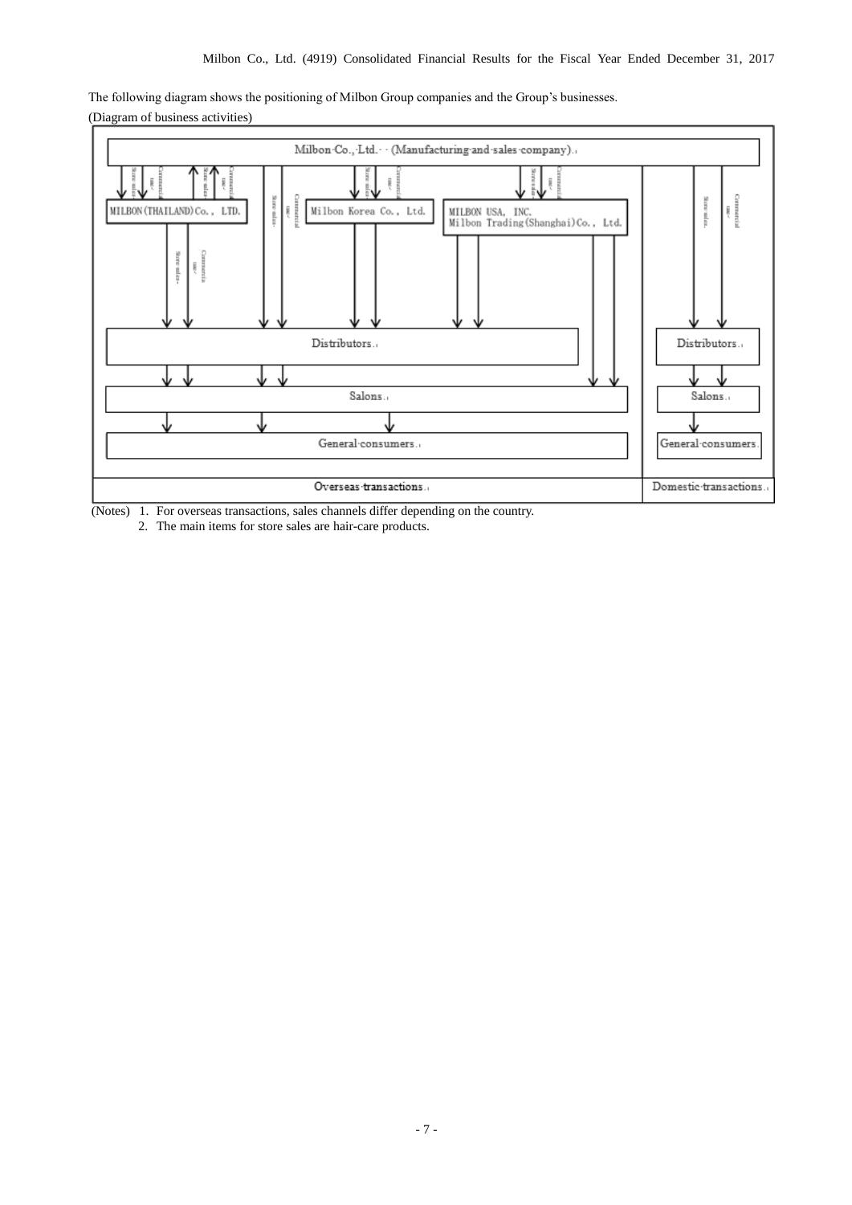The following diagram shows the positioning of Milbon Group companies and the Group's businesses. (Diagram of business activities)



(Notes) 1. For overseas transactions, sales channels differ depending on the country.

2. The main items for store sales are hair-care products.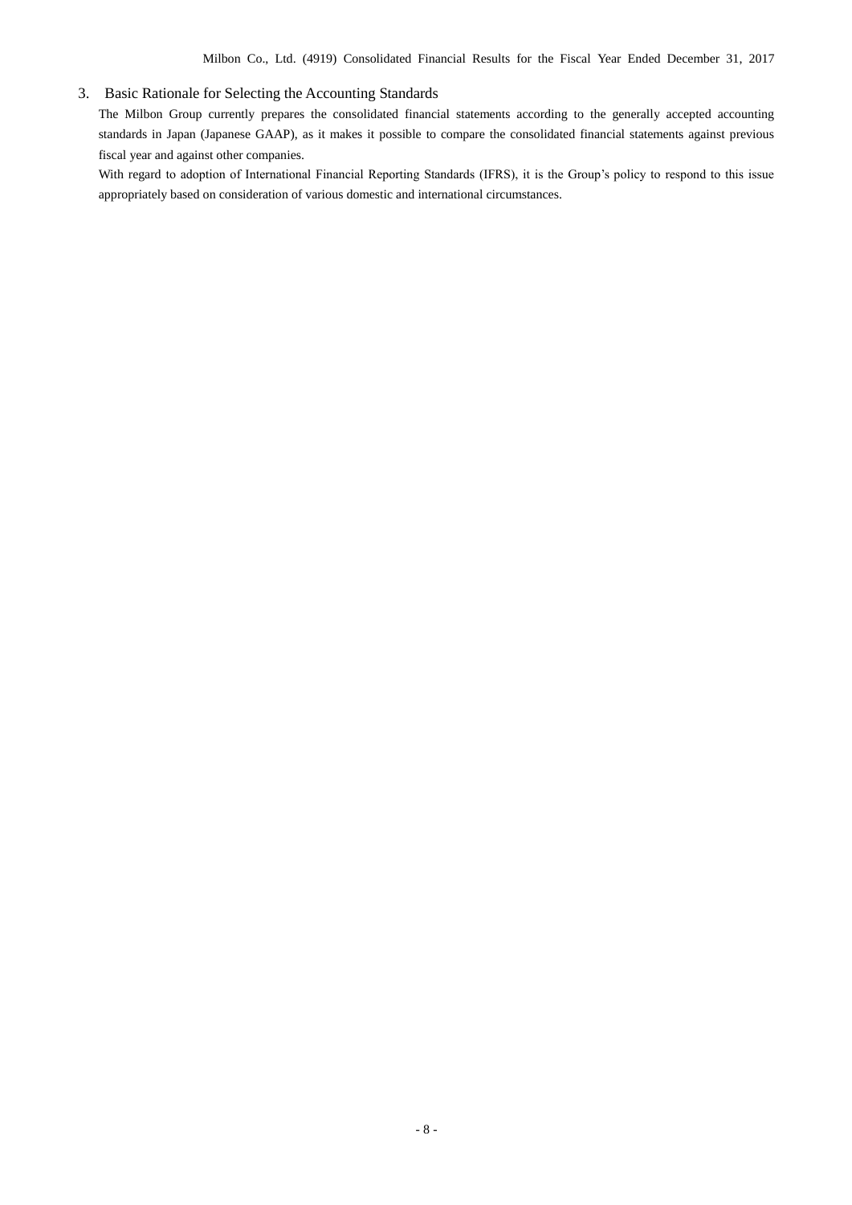### 3. Basic Rationale for Selecting the Accounting Standards

The Milbon Group currently prepares the consolidated financial statements according to the generally accepted accounting standards in Japan (Japanese GAAP), as it makes it possible to compare the consolidated financial statements against previous fiscal year and against other companies.

With regard to adoption of International Financial Reporting Standards (IFRS), it is the Group's policy to respond to this issue appropriately based on consideration of various domestic and international circumstances.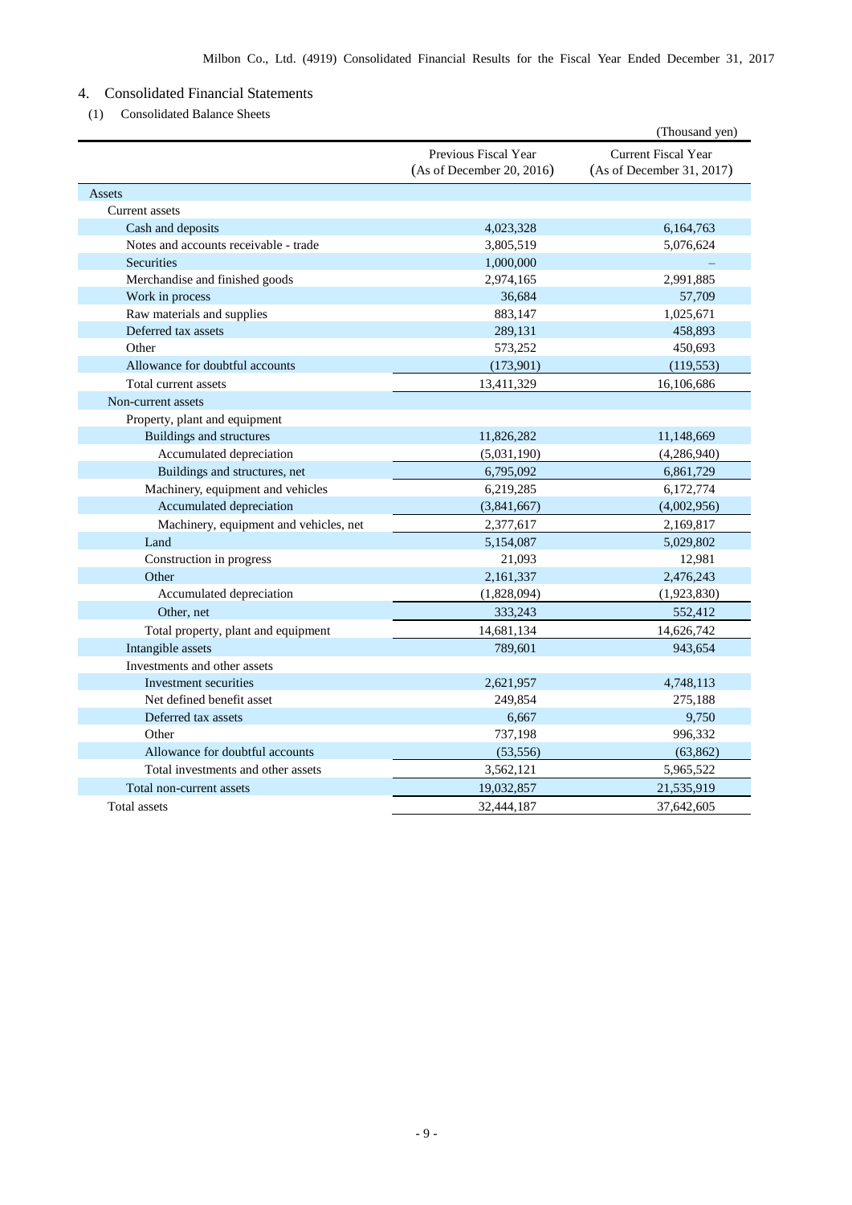# 4. Consolidated Financial Statements

(1) Consolidated Balance Sheets

|                                        |                                                   | (Thousand yen)                                          |
|----------------------------------------|---------------------------------------------------|---------------------------------------------------------|
|                                        | Previous Fiscal Year<br>(As of December 20, 2016) | <b>Current Fiscal Year</b><br>(As of December 31, 2017) |
| Assets                                 |                                                   |                                                         |
| Current assets                         |                                                   |                                                         |
| Cash and deposits                      | 4,023,328                                         | 6,164,763                                               |
| Notes and accounts receivable - trade  | 3,805,519                                         | 5,076,624                                               |
| <b>Securities</b>                      | 1,000,000                                         |                                                         |
| Merchandise and finished goods         | 2,974,165                                         | 2,991,885                                               |
| Work in process                        | 36,684                                            | 57,709                                                  |
| Raw materials and supplies             | 883,147                                           | 1,025,671                                               |
| Deferred tax assets                    | 289,131                                           | 458,893                                                 |
| Other                                  | 573,252                                           | 450,693                                                 |
| Allowance for doubtful accounts        | (173,901)                                         | (119, 553)                                              |
| Total current assets                   | 13,411,329                                        | 16,106,686                                              |
| Non-current assets                     |                                                   |                                                         |
| Property, plant and equipment          |                                                   |                                                         |
| Buildings and structures               | 11,826,282                                        | 11,148,669                                              |
| Accumulated depreciation               | (5,031,190)                                       | (4,286,940)                                             |
| Buildings and structures, net          | 6,795,092                                         | 6,861,729                                               |
| Machinery, equipment and vehicles      | 6,219,285                                         | 6,172,774                                               |
| Accumulated depreciation               | (3,841,667)                                       | (4,002,956)                                             |
| Machinery, equipment and vehicles, net | 2,377,617                                         | 2,169,817                                               |
| Land                                   | 5,154,087                                         | 5,029,802                                               |
| Construction in progress               | 21,093                                            | 12,981                                                  |
| Other                                  | 2,161,337                                         | 2,476,243                                               |
| Accumulated depreciation               | (1,828,094)                                       | (1,923,830)                                             |
| Other, net                             | 333,243                                           | 552,412                                                 |
| Total property, plant and equipment    | 14,681,134                                        | 14,626,742                                              |
| Intangible assets                      | 789,601                                           | 943,654                                                 |
| Investments and other assets           |                                                   |                                                         |
| Investment securities                  | 2,621,957                                         | 4,748,113                                               |
| Net defined benefit asset              | 249,854                                           | 275,188                                                 |
| Deferred tax assets                    | 6,667                                             | 9,750                                                   |
| Other                                  | 737,198                                           | 996,332                                                 |
| Allowance for doubtful accounts        | (53, 556)                                         | (63, 862)                                               |
| Total investments and other assets     | 3,562,121                                         | 5,965,522                                               |
| Total non-current assets               | 19,032,857                                        | 21,535,919                                              |
| Total assets                           | 32,444,187                                        | 37,642,605                                              |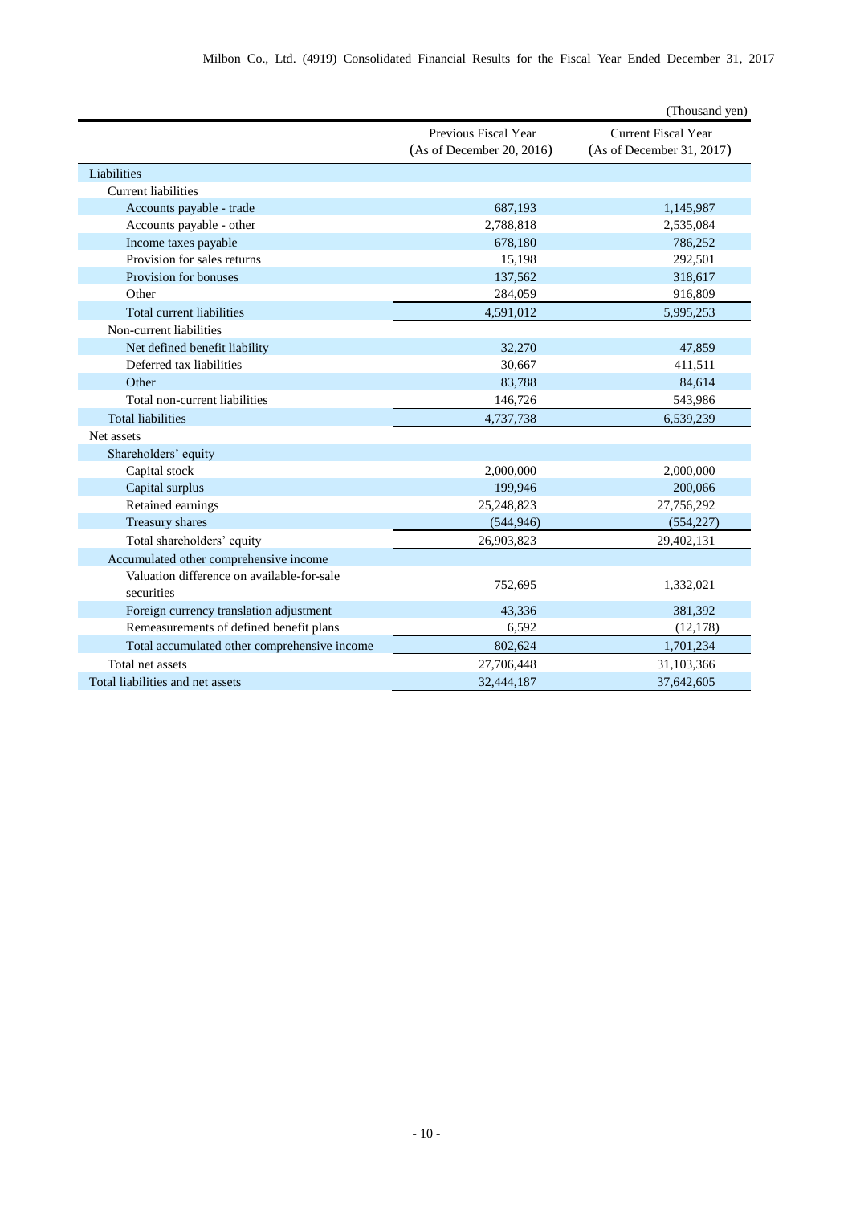|                                                          |                                                   | (Thousand yen)                                          |
|----------------------------------------------------------|---------------------------------------------------|---------------------------------------------------------|
|                                                          | Previous Fiscal Year<br>(As of December 20, 2016) | <b>Current Fiscal Year</b><br>(As of December 31, 2017) |
| Liabilities                                              |                                                   |                                                         |
| <b>Current liabilities</b>                               |                                                   |                                                         |
| Accounts payable - trade                                 | 687,193                                           | 1,145,987                                               |
| Accounts payable - other                                 | 2,788,818                                         | 2,535,084                                               |
| Income taxes payable                                     | 678,180                                           | 786,252                                                 |
| Provision for sales returns                              | 15,198                                            | 292,501                                                 |
| Provision for bonuses                                    | 137,562                                           | 318,617                                                 |
| Other                                                    | 284,059                                           | 916,809                                                 |
| Total current liabilities                                | 4,591,012                                         | 5,995,253                                               |
| Non-current liabilities                                  |                                                   |                                                         |
| Net defined benefit liability                            | 32,270                                            | 47,859                                                  |
| Deferred tax liabilities                                 | 30,667                                            | 411,511                                                 |
| Other                                                    | 83,788                                            | 84,614                                                  |
| Total non-current liabilities                            | 146,726                                           | 543,986                                                 |
| <b>Total liabilities</b>                                 | 4,737,738                                         | 6,539,239                                               |
| Net assets                                               |                                                   |                                                         |
| Shareholders' equity                                     |                                                   |                                                         |
| Capital stock                                            | 2,000,000                                         | 2,000,000                                               |
| Capital surplus                                          | 199,946                                           | 200,066                                                 |
| Retained earnings                                        | 25,248,823                                        | 27,756,292                                              |
| Treasury shares                                          | (544, 946)                                        | (554, 227)                                              |
| Total shareholders' equity                               | 26,903,823                                        | 29,402,131                                              |
| Accumulated other comprehensive income                   |                                                   |                                                         |
| Valuation difference on available-for-sale<br>securities | 752,695                                           | 1,332,021                                               |
| Foreign currency translation adjustment                  | 43,336                                            | 381,392                                                 |
| Remeasurements of defined benefit plans                  | 6,592                                             | (12, 178)                                               |
| Total accumulated other comprehensive income             | 802,624                                           | 1,701,234                                               |
| Total net assets                                         | 27,706,448                                        | 31,103,366                                              |
| Total liabilities and net assets                         | 32,444,187                                        | 37,642,605                                              |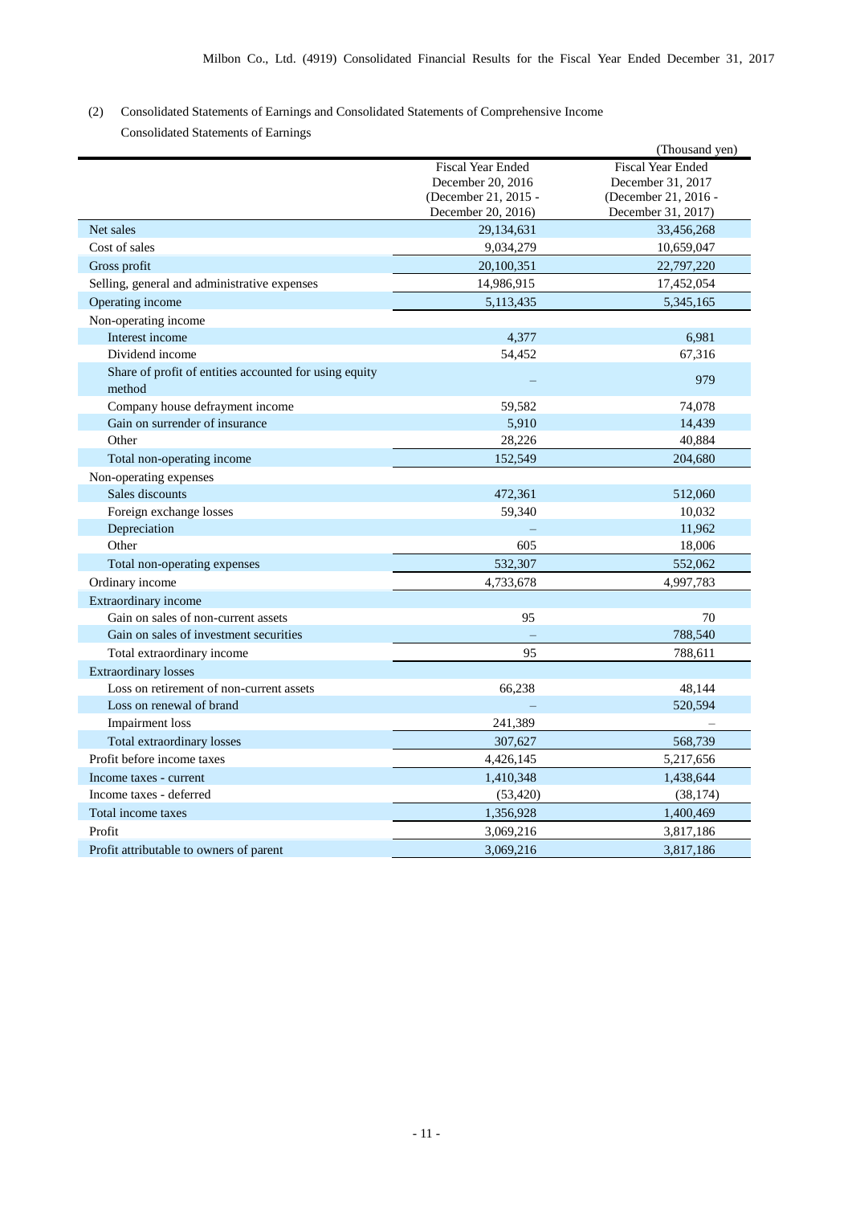# (2) Consolidated Statements of Earnings and Consolidated Statements of Comprehensive Income Consolidated Statements of Earnings

|                                                        |                          | (Thousand yen)           |
|--------------------------------------------------------|--------------------------|--------------------------|
|                                                        | <b>Fiscal Year Ended</b> | <b>Fiscal Year Ended</b> |
|                                                        | December 20, 2016        | December 31, 2017        |
|                                                        | (December 21, 2015 -     | (December 21, 2016 -     |
|                                                        | December 20, 2016)       | December 31, 2017)       |
| Net sales                                              | 29,134,631               | 33,456,268               |
| Cost of sales                                          | 9,034,279                | 10,659,047               |
| Gross profit                                           | 20,100,351               | 22,797,220               |
| Selling, general and administrative expenses           | 14,986,915               | 17,452,054               |
| Operating income                                       | 5, 113, 435              | 5,345,165                |
| Non-operating income                                   |                          |                          |
| Interest income                                        | 4,377                    | 6,981                    |
| Dividend income                                        | 54,452                   | 67,316                   |
| Share of profit of entities accounted for using equity |                          | 979                      |
| method                                                 |                          |                          |
| Company house defrayment income                        | 59,582                   | 74,078                   |
| Gain on surrender of insurance                         | 5,910                    | 14,439                   |
| Other                                                  | 28,226                   | 40,884                   |
| Total non-operating income                             | 152,549                  | 204,680                  |
| Non-operating expenses                                 |                          |                          |
| Sales discounts                                        | 472,361                  | 512,060                  |
| Foreign exchange losses                                | 59,340                   | 10,032                   |
| Depreciation                                           |                          | 11,962                   |
| Other                                                  | 605                      | 18,006                   |
| Total non-operating expenses                           | 532,307                  | 552,062                  |
| Ordinary income                                        | 4,733,678                | 4,997,783                |
| Extraordinary income                                   |                          |                          |
| Gain on sales of non-current assets                    | 95                       | 70                       |
| Gain on sales of investment securities                 |                          | 788,540                  |
| Total extraordinary income                             | 95                       | 788,611                  |
| <b>Extraordinary losses</b>                            |                          |                          |
| Loss on retirement of non-current assets               | 66,238                   | 48,144                   |
| Loss on renewal of brand                               |                          | 520,594                  |
| Impairment loss                                        | 241,389                  |                          |
| Total extraordinary losses                             | 307,627                  | 568,739                  |
| Profit before income taxes                             | 4,426,145                | 5,217,656                |
| Income taxes - current                                 | 1,410,348                | 1,438,644                |
| Income taxes - deferred                                | (53, 420)                | (38, 174)                |
| Total income taxes                                     | 1,356,928                | 1,400,469                |
| Profit                                                 | 3,069,216                | 3,817,186                |
| Profit attributable to owners of parent                | 3,069,216                | 3,817,186                |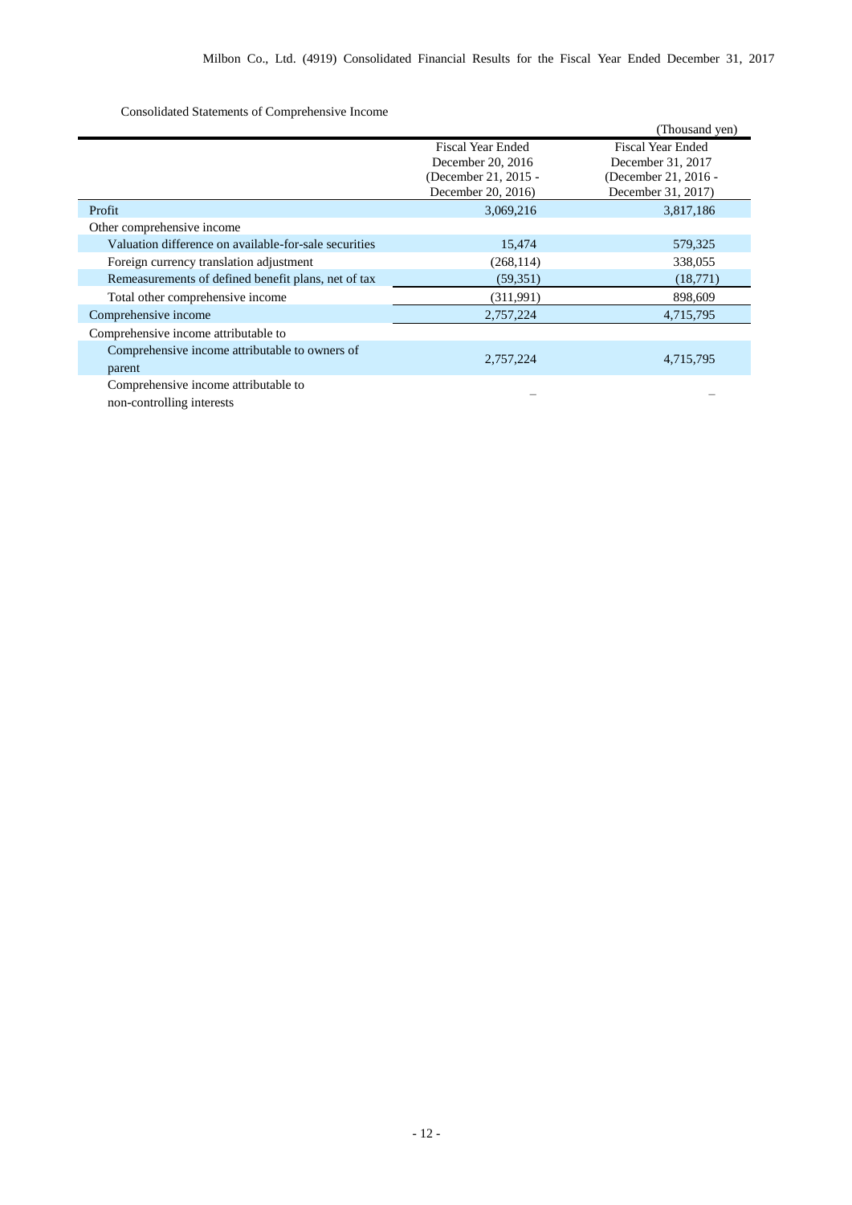Consolidated Statements of Comprehensive Income

|                                                       |                          | (Thousand yen)           |
|-------------------------------------------------------|--------------------------|--------------------------|
|                                                       | <b>Fiscal Year Ended</b> | <b>Fiscal Year Ended</b> |
|                                                       | December 20, 2016        | December 31, 2017        |
|                                                       | (December 21, 2015 -     | (December 21, 2016 -     |
|                                                       | December 20, 2016)       | December 31, 2017)       |
| Profit                                                | 3,069,216                | 3,817,186                |
| Other comprehensive income                            |                          |                          |
| Valuation difference on available-for-sale securities | 15,474                   | 579,325                  |
| Foreign currency translation adjustment               | (268, 114)               | 338,055                  |
| Remeasurements of defined benefit plans, net of tax   | (59, 351)                | (18,771)                 |
| Total other comprehensive income                      | (311,991)                | 898,609                  |
| Comprehensive income                                  | 2,757,224                | 4,715,795                |
| Comprehensive income attributable to                  |                          |                          |
| Comprehensive income attributable to owners of        |                          |                          |
| parent                                                | 2,757,224                | 4,715,795                |
| Comprehensive income attributable to                  |                          |                          |
| non-controlling interests                             |                          |                          |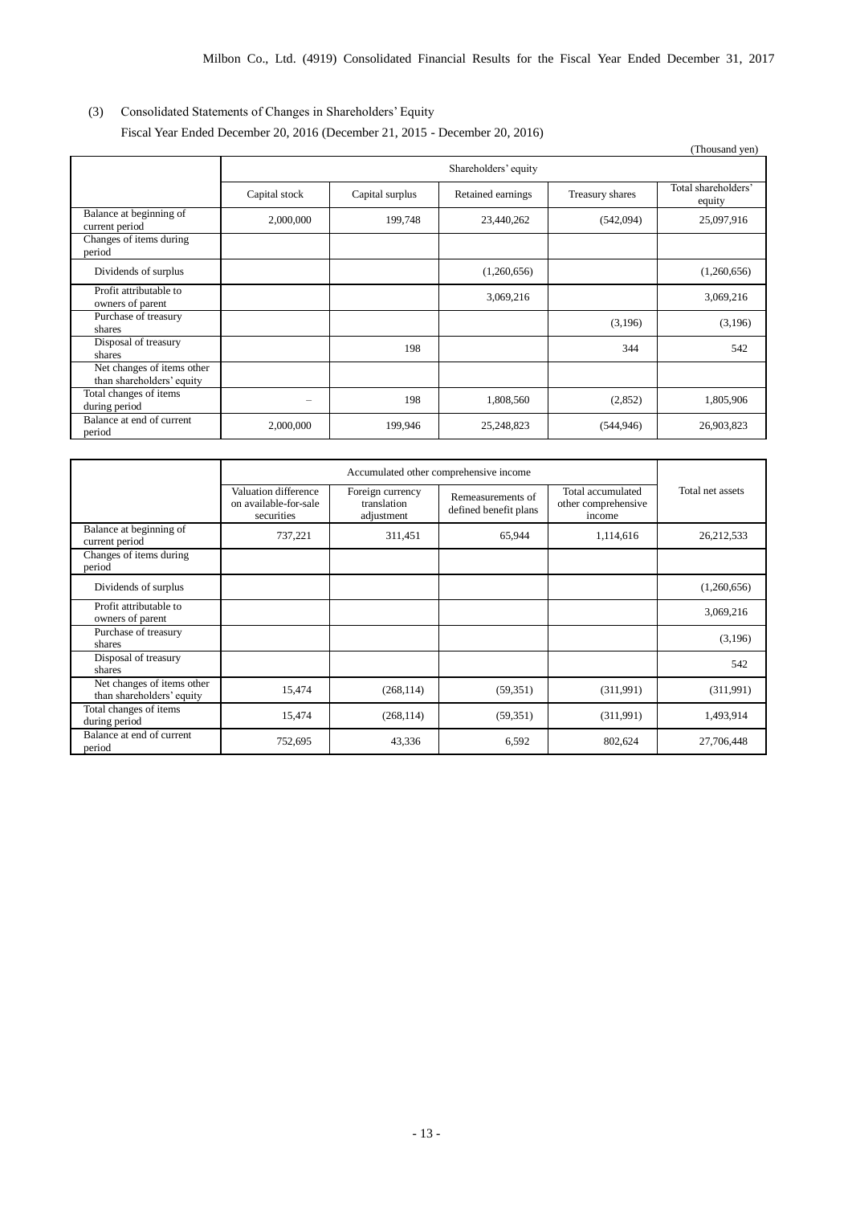# (3) Consolidated Statements of Changes in Shareholders' Equity

Fiscal Year Ended December 20, 2016 (December 21, 2015 - December 20, 2016)

|                                                         |               |                 |                      |                 | (Thousand yen)                |
|---------------------------------------------------------|---------------|-----------------|----------------------|-----------------|-------------------------------|
|                                                         |               |                 | Shareholders' equity |                 |                               |
|                                                         | Capital stock | Capital surplus | Retained earnings    | Treasury shares | Total shareholders'<br>equity |
| Balance at beginning of<br>current period               | 2,000,000     | 199,748         | 23,440,262           | (542,094)       | 25,097,916                    |
| Changes of items during<br>period                       |               |                 |                      |                 |                               |
| Dividends of surplus                                    |               |                 | (1,260,656)          |                 | (1,260,656)                   |
| Profit attributable to<br>owners of parent              |               |                 | 3,069,216            |                 | 3,069,216                     |
| Purchase of treasury<br>shares                          |               |                 |                      | (3,196)         | (3,196)                       |
| Disposal of treasury<br>shares                          |               | 198             |                      | 344             | 542                           |
| Net changes of items other<br>than shareholders' equity |               |                 |                      |                 |                               |
| Total changes of items<br>during period                 | -             | 198             | 1,808,560            | (2,852)         | 1,805,906                     |
| Balance at end of current<br>period                     | 2,000,000     | 199,946         | 25,248,823           | (544, 946)      | 26,903,823                    |

|                                                         | Accumulated other comprehensive income                      |                                               |                                            |                                                    |                  |
|---------------------------------------------------------|-------------------------------------------------------------|-----------------------------------------------|--------------------------------------------|----------------------------------------------------|------------------|
|                                                         | Valuation difference<br>on available-for-sale<br>securities | Foreign currency<br>translation<br>adjustment | Remeasurements of<br>defined benefit plans | Total accumulated<br>other comprehensive<br>income | Total net assets |
| Balance at beginning of<br>current period               | 737,221                                                     | 311,451                                       | 65,944                                     | 1,114,616                                          | 26, 212, 533     |
| Changes of items during<br>period                       |                                                             |                                               |                                            |                                                    |                  |
| Dividends of surplus                                    |                                                             |                                               |                                            |                                                    | (1,260,656)      |
| Profit attributable to<br>owners of parent              |                                                             |                                               |                                            |                                                    | 3,069,216        |
| Purchase of treasury<br>shares                          |                                                             |                                               |                                            |                                                    | (3,196)          |
| Disposal of treasury<br>shares                          |                                                             |                                               |                                            |                                                    | 542              |
| Net changes of items other<br>than shareholders' equity | 15,474                                                      | (268, 114)                                    | (59,351)                                   | (311,991)                                          | (311,991)        |
| Total changes of items<br>during period                 | 15,474                                                      | (268, 114)                                    | (59,351)                                   | (311,991)                                          | 1,493,914        |
| Balance at end of current<br>period                     | 752,695                                                     | 43,336                                        | 6,592                                      | 802,624                                            | 27,706,448       |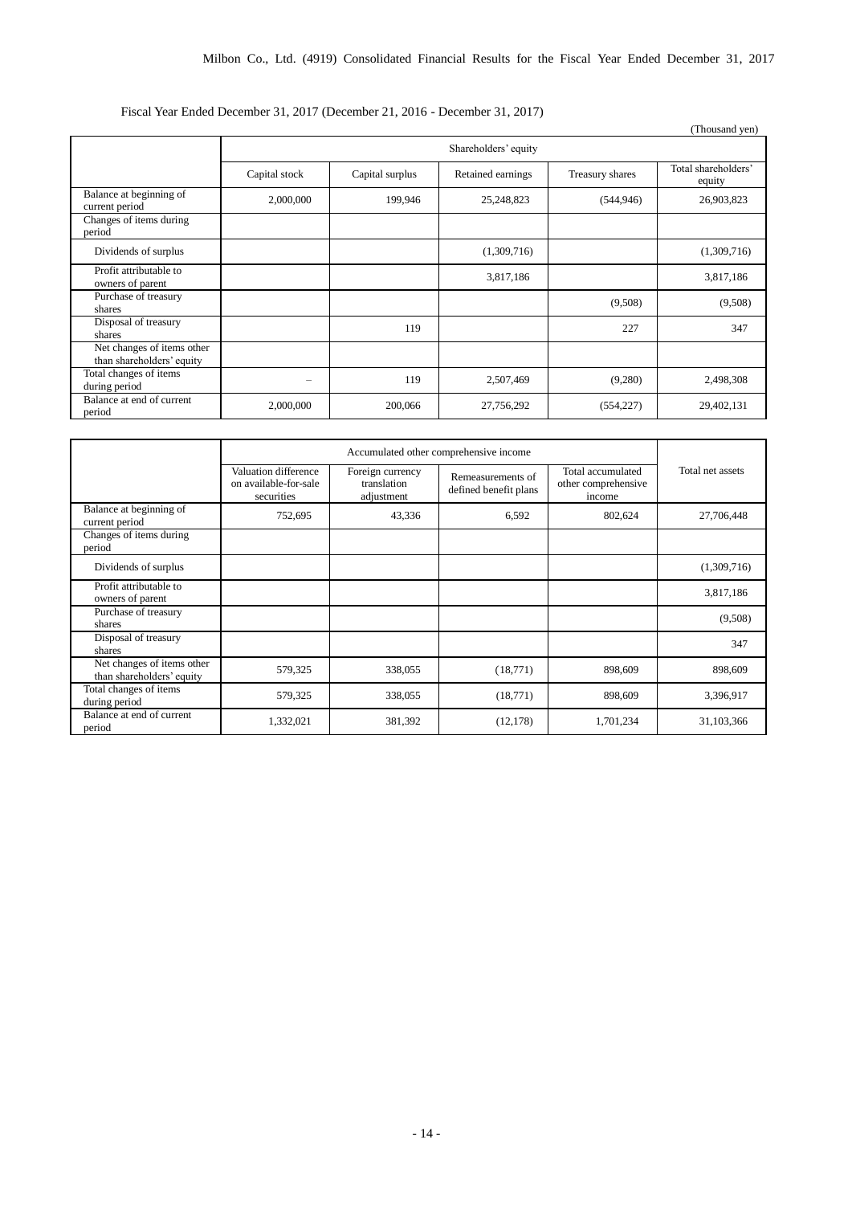# Fiscal Year Ended December 31, 2017 (December 21, 2016 - December 31, 2017)

|                                                         |               |                 |                      |                 | (Thousand yen)                |
|---------------------------------------------------------|---------------|-----------------|----------------------|-----------------|-------------------------------|
|                                                         |               |                 | Shareholders' equity |                 |                               |
|                                                         | Capital stock | Capital surplus | Retained earnings    | Treasury shares | Total shareholders'<br>equity |
| Balance at beginning of<br>current period               | 2,000,000     | 199,946         | 25,248,823           | (544, 946)      | 26,903,823                    |
| Changes of items during<br>period                       |               |                 |                      |                 |                               |
| Dividends of surplus                                    |               |                 | (1,309,716)          |                 | (1,309,716)                   |
| Profit attributable to<br>owners of parent              |               |                 | 3,817,186            |                 | 3,817,186                     |
| Purchase of treasury<br>shares                          |               |                 |                      | (9,508)         | (9,508)                       |
| Disposal of treasury<br>shares                          |               | 119             |                      | 227             | 347                           |
| Net changes of items other<br>than shareholders' equity |               |                 |                      |                 |                               |
| Total changes of items<br>during period                 |               | 119             | 2,507,469            | (9,280)         | 2,498,308                     |
| Balance at end of current<br>period                     | 2,000,000     | 200,066         | 27,756,292           | (554, 227)      | 29,402,131                    |

|                                                         | Accumulated other comprehensive income                      |                                               |                                            |                                                    |                  |
|---------------------------------------------------------|-------------------------------------------------------------|-----------------------------------------------|--------------------------------------------|----------------------------------------------------|------------------|
|                                                         | Valuation difference<br>on available-for-sale<br>securities | Foreign currency<br>translation<br>adjustment | Remeasurements of<br>defined benefit plans | Total accumulated<br>other comprehensive<br>income | Total net assets |
| Balance at beginning of<br>current period               | 752,695                                                     | 43,336                                        | 6,592                                      | 802,624                                            | 27,706,448       |
| Changes of items during<br>period                       |                                                             |                                               |                                            |                                                    |                  |
| Dividends of surplus                                    |                                                             |                                               |                                            |                                                    | (1,309,716)      |
| Profit attributable to<br>owners of parent              |                                                             |                                               |                                            |                                                    | 3,817,186        |
| Purchase of treasury<br>shares                          |                                                             |                                               |                                            |                                                    | (9,508)          |
| Disposal of treasury<br>shares                          |                                                             |                                               |                                            |                                                    | 347              |
| Net changes of items other<br>than shareholders' equity | 579,325                                                     | 338,055                                       | (18, 771)                                  | 898,609                                            | 898,609          |
| Total changes of items<br>during period                 | 579,325                                                     | 338,055                                       | (18,771)                                   | 898,609                                            | 3,396,917        |
| Balance at end of current<br>period                     | 1,332,021                                                   | 381,392                                       | (12, 178)                                  | 1,701,234                                          | 31,103,366       |